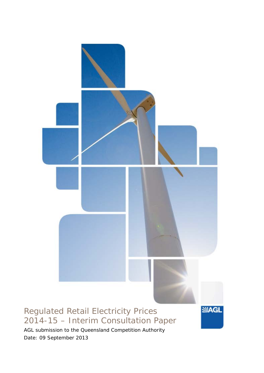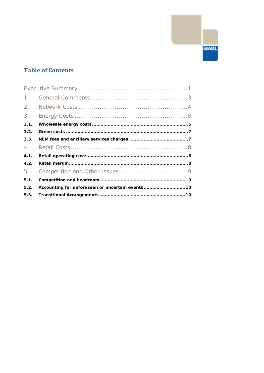## **Table of Contents**

| 1.   |                                                 |  |
|------|-------------------------------------------------|--|
| 2.   |                                                 |  |
| 3.   |                                                 |  |
| 3.1. |                                                 |  |
| 3.2. |                                                 |  |
| 3.3. |                                                 |  |
| 4.   |                                                 |  |
| 4.1. |                                                 |  |
| 4.2. |                                                 |  |
| 5.   |                                                 |  |
| 5.1. |                                                 |  |
| 5.2. | Accounting for unforeseen or uncertain events10 |  |
|      |                                                 |  |

**SIAGL**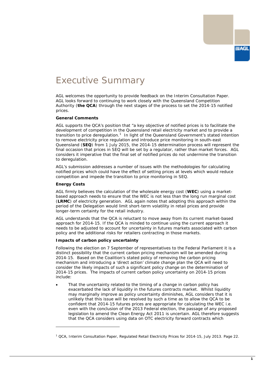## <span id="page-2-0"></span>Executive Summary

AGL welcomes the opportunity to provide feedback on the Interim Consultation Paper. AGL looks forward to continuing to work closely with the Queensland Competition Authority (*the QCA*) through the next stages of the process to set the 2014-15 notified prices.

### **General Comments**

AGL supports the QCA's position that "*a key objective of notified prices is to facilitate the development of competition in the Queensland retail electricity market and to provide a transition to price deregulation*. [1](#page-2-1) In light of the Queensland Government's stated intention to remove electricity price regulation and introduce price monitoring in south-east Queensland (*SEQ*) from 1 July 2015, the 2014-15 determination process will represent the final occasion that prices in SEQ will be set by a regulator, rather than market forces. AGL considers it imperative that the final set of notified prices do not undermine the transition to deregulation.

AGL's submission addresses a number of issues with the methodologies for calculating notified prices which could have the effect of setting prices at levels which would reduce competition and impede the transition to price monitoring in SEQ.

#### **Energy Costs**

-

AGL firmly believes the calculation of the wholesale energy cost (*WEC*) using a marketbased approach needs to ensure that the WEC is not less than the long run marginal cost (*LRMC*) of electricity generation. AGL again notes that adopting this approach within the period of the Delegation would limit short-term volatility in retail prices and provide longer-term certainty for the retail industry.

AGL understands that the QCA is reluctant to move away from its current market-based approach for 2014-15. If the QCA is minded to continue using the current approach it needs to be adjusted to account for uncertainty in futures markets associated with carbon policy and the additional risks for retailers contracting in those markets.

### **Impacts of carbon policy uncertainty**

Following the election on 7 September of representatives to the Federal Parliament it is a distinct possibility that the current carbon pricing mechanism will be amended during 2014-15. Based on the Coalition's stated policy of removing the carbon pricing mechanism and introducing a 'direct action' climate change plan the QCA will need to consider the likely impacts of such a significant policy change on the determination of 2014-15 prices. The impacts of current carbon policy uncertainty on 2014-15 prices include:

That the uncertainty related to the timing of a change in carbon policy has exacerbated the lack of liquidity in the futures contracts market. Whilst liquidity may marginally improve as policy uncertainty diminishes, AGL considers that it is unlikely that this issue will be resolved by such a time as to allow the QCA to be confident that 2014-15 futures prices are appropriate for calculating the WEC i.e. even with the conclusion of the 2013 Federal election, the passage of any proposed legislation to amend the Clean Energy Act 2011 is uncertain. AGL therefore suggests that the QCA considers using data on OTC electricity forward contracts which

<span id="page-2-1"></span><sup>1</sup> QCA, Interim Consultation Paper, Regulated Retail Electricity Prices for 2014-15, July 2013. Page 22.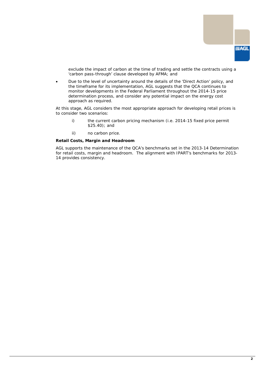

exclude the impact of carbon at the time of trading and settle the contracts using a 'carbon pass-through' clause developed by AFMA; and

• Due to the level of uncertainty around the details of the 'Direct Action' policy, and the timeframe for its implementation, AGL suggests that the QCA continues to monitor developments in the Federal Parliament throughout the 2014-15 price determination process, and consider any potential impact on the energy cost approach as required.

At this stage, AGL considers the most appropriate approach for developing retail prices is to consider two scenarios:

- i) the current carbon pricing mechanism (i.e. 2014-15 fixed price permit \$25.40); and
- ii) no carbon price.

#### **Retail Costs, Margin and Headroom**

AGL supports the maintenance of the QCA's benchmarks set in the 2013-14 Determination for retail costs, margin and headroom. The alignment with IPART's benchmarks for 2013- 14 provides consistency.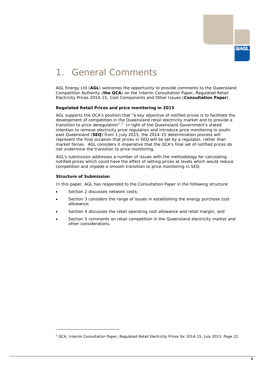

## <span id="page-4-0"></span>1. General Comments

AGL Energy Ltd (*AGL*) welcomes the opportunity to provide comments to the Queensland Competition Authority (*the QCA*) on the Interim Consultation Paper, Regulated Retail Electricity Prices 2014-15, Cost Components and Other Issues (*Consultation Paper*).

#### **Regulated Retail Prices and price monitoring in 2015**

AGL supports the QCA's position that "*a key objective of notified prices is to facilitate the development of competition in the Queensland retail electricity market and to provide a*  transition to price deregulation".<sup>[2](#page-4-1)</sup> In light of the Queensland Government's stated intention to remove electricity price regulation and introduce price monitoring in southeast Queensland (**SEQ**) from 1 July 2015, the 2014-15 determination process will represent the final occasion that prices in SEQ will be set by a regulator, rather than market forces. AGL considers it imperative that the QCA's final set of notified prices do not undermine the transition to price monitoring.

AGL's submission addresses a number of issues with the methodology for calculating notified prices which could have the effect of setting prices at levels which would reduce competition and impede a smooth transition to price monitoring in SEQ.

#### **Structure of Submission**

-

In this paper, AGL has responded to the Consultation Paper in the following structure:

- Section 2 discusses network costs;
- Section 3 considers the range of issues in establishing the energy purchase cost allowance;
- Section 4 discusses the retail operating cost allowance and retail margin; and
- Section 5 comments on retail competition in the Queensland electricity market and other considerations.

<span id="page-4-1"></span><sup>&</sup>lt;sup>2</sup> QCA, Interim Consultation Paper, Regulated Retail Electricity Prices for 2014-15, July 2013. Page 22.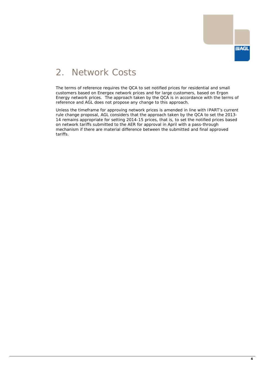

# <span id="page-5-0"></span>2. Network Costs

The terms of reference requires the QCA to set notified prices for residential and small customers based on Energex network prices and for large customers, based on Ergon Energy network prices. The approach taken by the QCA is in accordance with the terms of reference and AGL does not propose any change to this approach.

Unless the timeframe for approving network prices is amended in line with IPART's current rule change proposal, AGL considers that the approach taken by the QCA to set the 2013- 14 remains appropriate for setting 2014-15 prices, that is, to set the notified prices based on network tariffs submitted to the AER for approval in April with a pass-through mechanism if there are material difference between the submitted and final approved tariffs.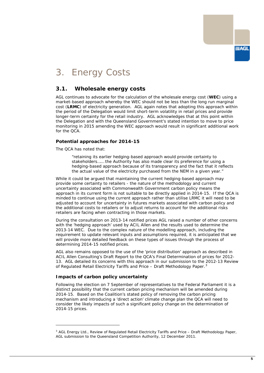

## <span id="page-6-0"></span>3. Energy Costs

## <span id="page-6-1"></span>**3.1. Wholesale energy costs**

AGL continues to advocate for the calculation of the wholesale energy cost (*WEC*) using a market-based approach whereby the WEC should not be less than the long run marginal cost (*LRMC*) of electricity generation. AGL again notes that adopting this approach within the period of the Delegation would limit short-term volatility in retail prices and provide longer-term certainty for the retail industry. AGL acknowledges that at this point within the Delegation and with the Queensland Government's stated intention to move to price monitoring in 2015 amending the WEC approach would result in significant additional work for the QCA.

## **Potential approaches for 2014-15**

The QCA has noted that:

*"retaining its earlier hedging-based approach would provide certainty to stakeholders…… the Authority has also made clear its preference for using a hedging-based approach because of its transparency and the fact that it reflects the actual value of the electricity purchased from the NEM in a given year."*

While it could be argued that maintaining the current hedging-based approach may provide some certainty to retailers - the nature of the methodology and current uncertainty associated with Commonwealth Government carbon policy means the approach in its current form is not suitable to be directly applied in 2014-15. If the QCA is minded to continue using the current approach rather than utilise LRMC it will need to be adjusted to account for uncertainty in futures markets associated with carbon policy and the additional costs to retailers or to adjust returns to account for the additional risks retailers are facing when contracting in those markets.

During the consultation on 2013-14 notified prices AGL raised a number of other concerns with the 'hedging approach' used by ACIL Allen and the results used to determine the 2013-14 WEC. Due to the complex nature of the modelling approach, including the requirement to update relevant inputs and assumptions required, it is anticipated that we will provide more detailed feedback on these types of issues through the process of determining 2014-15 notified prices.

AGL also remains opposed to the use of the 'price distribution' approach as described in ACIL Allen Consulting's Draft Report to the QCA's Final Determination of prices for 2012- 13. AGL detailed its concerns with this approach in our submission to the 2012-13 Review of Regulated Retail Electricity Tariffs and Price – Draft Methodology Paper.

### **Impacts of carbon policy uncertainty**

-

Following the election on 7 September of representatives to the Federal Parliament it is a distinct possibility that the current carbon pricing mechanism will be amended during 2014-15. Based on the Coalition's stated policy of removing the carbon pricing mechanism and introducing a 'direct action' climate change plan the QCA will need to consider the likely impacts of such a significant policy change on the determination of 2014-15 prices.

<span id="page-6-2"></span><sup>&</sup>lt;sup>3</sup> AGL Energy Ltd., Review of Regulated Retail Electricity Tariffs and Price – Draft Methodology Paper, AGL submission to the Queensland Competition Authority, 12 December 2011.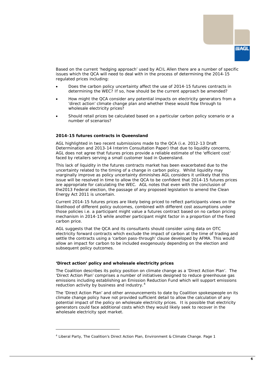

Based on the current 'hedging approach' used by ACIL Allen there are a number of specific issues which the QCA will need to deal with in the process of determining the 2014-15 regulated prices including:

- Does the carbon policy uncertainty affect the use of 2014-15 futures contracts in determining the WEC? If so, how should be the current approach be amended?
- How might the QCA consider any potential impacts on electricity generators from a 'direct action' climate change plan and whether these would flow through to wholesale electricity prices?
- Should retail prices be calculated based on a particular carbon policy scenario or a number of scenarios?

#### *2014-15 futures contracts in Queensland*

AGL highlighted in two recent submissions made to the QCA (i.e. 2012-13 Draft Determination and 2013-14 Interim Consultation Paper) that due to liquidity concerns, AGL does not agree that futures prices provide a reliable estimate of the 'efficient cost' faced by retailers serving a small customer load in Queensland.

This lack of liquidity in the futures contracts market has been exacerbated due to the uncertainty related to the timing of a change in carbon policy. Whilst liquidity may marginally improve as policy uncertainty diminishes AGL considers it unlikely that this issue will be resolved in time to allow the QCA to be confident that 2014-15 futures prices are appropriate for calculating the WEC. AGL notes that even with the conclusion of the2013 Federal election, the passage of any proposed legislation to amend the Clean Energy Act 2011 is uncertain.

Current 2014-15 futures prices are likely being priced to reflect participants views on the likelihood of different policy outcomes, combined with different cost assumptions under those policies i.e. a participant might value a futures contract based on no carbon pricing mechanism in 2014-15 while another participant might factor in a proportion of the fixed carbon price.

AGL suggests that the QCA and its consultants should consider using data on OTC electricity forward contracts which exclude the impact of carbon at the time of trading and settle the contracts using a 'carbon pass-through' clause developed by AFMA. This would allow an impact for carbon to be included exogenously depending on the election and subsequent policy outcomes.

#### *'Direct action' policy and wholesale electricity prices*

-

The Coalition describes its policy position on climate change as a 'Direct Action Plan'. The 'Direct Action Plan' comprises a number of initiatives designed to reduce greenhouse gas emissions including establishing an Emission Reduction Fund which will support emissions reduction activity by business and industry.<sup>[4](#page-7-0)</sup>

The 'Direct Action Plan' and other announcements to date by Coalition spokespeople on its climate change policy have not provided sufficient detail to allow the calculation of any potential impact of the policy on wholesale electricity prices. It is possible that electricity generators could face additional costs which they would likely seek to recover in the wholesale electricity spot market.

<span id="page-7-0"></span><sup>4</sup> Liberal Party, The Coalition's Direct Action Plan, Environment & Climate Change. Page 1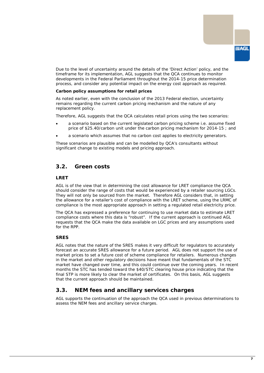Due to the level of uncertainty around the details of the 'Direct Action' policy, and the timeframe for its implementation, AGL suggests that the QCA continues to monitor developments in the Federal Parliament throughout the 2014-15 price determination process, and consider any potential impact on the energy cost approach as required.

#### *Carbon policy assumptions for retail prices*

As noted earlier, even with the conclusion of the 2013 Federal election, uncertainty remains regarding the current carbon pricing mechanism and the nature of any replacement policy.

Therefore, AGL suggests that the QCA calculates retail prices using the two scenarios:

- a scenario based on the current legislated carbon pricing scheme i.e. assume fixed price of \$25.40/carbon unit under the carbon pricing mechanism for 2014-15 ; and
- a scenario which assumes that no carbon cost applies to electricity generators.

These scenarios are plausible and can be modelled by QCA's consultants without significant change to existing models and pricing approach.

## <span id="page-8-0"></span>**3.2. Green costs**

### **LRET**

AGL is of the view that in determining the cost allowance for LRET compliance the QCA should consider the range of costs that would be experienced by a retailer sourcing LGCs. They will not only be sourced from the market. Therefore AGL considers that, in setting the allowance for a retailer's cost of compliance with the LRET scheme, using the LRMC of compliance is the most appropriate approach in setting a regulated retail electricity price.

The QCA has expressed a preference for continuing to use market data to estimate LRET compliance costs where this data is "robust". If the current approach is continued AGL requests that the QCA make the data available on LGC prices and any assumptions used for the RPP.

### **SRES**

AGL notes that the nature of the SRES makes it very difficult for regulators to accurately forecast an accurate SRES allowance for a future period. AGL does not support the use of market prices to set a future cost of scheme compliance for retailers. Numerous changes in the market and other regulatory decisions have meant that fundamentals of the STC market have changed over time, and this could continue over the coming years. In recent months the STC has tended toward the \$40/STC clearing house price indicating that the final STP is more likely to clear the market of certificates. On this basis, AGL suggests that the current approach should be maintained.

## <span id="page-8-1"></span>**3.3. NEM fees and ancillary services charges**

AGL supports the continuation of the approach the QCA used in previous determinations to assess the NEM fees and ancillary service charges.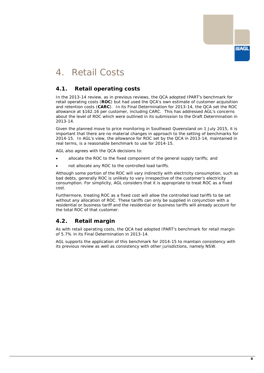

## <span id="page-9-0"></span>4. Retail Costs

## <span id="page-9-1"></span>**4.1. Retail operating costs**

In the 2013-14 review, as in previous reviews, the QCA adopted IPART's benchmark for retail operating costs (*ROC*) but had used the QCA's own estimate of customer acquisition and retention costs (*CARC*). In its Final Determination for 2013-14, the QCA set the ROC allowance at \$162.16 per customer, including CARC. This has addressed AGL's concerns about the level of ROC which were outlined in its submission to the Draft Determination in 2013-14.

Given the planned move to price monitoring in Southeast Queensland on 1 July 2015, it is important that there are no material changes in approach to the setting of benchmarks for 2014-15. In AGL's view, the allowance for ROC set by the QCA in 2013-14, maintained in real terms, is a reasonable benchmark to use for 2014-15.

AGL also agrees with the QCA decisions to:

- allocate the ROC to the fixed component of the general supply tariffs; and
- not allocate any ROC to the controlled load tariffs.

Although some portion of the ROC will vary indirectly with electricity consumption, such as bad debts, generally ROC is unlikely to vary irrespective of the customer's electricity consumption. For simplicity, AGL considers that it is appropriate to treat ROC as a fixed cost.

Furthermore, treating ROC as a fixed cost will allow the controlled load tariffs to be set without any allocation of ROC. These tariffs can only be supplied in conjunction with a residential or business tariff and the residential or business tariffs will already account for the total ROC of that customer.

## <span id="page-9-2"></span>**4.2. Retail margin**

As with retail operating costs, the QCA had adopted IPART's benchmark for retail margin of 5.7% in its Final Determination in 2013-14.

AGL supports the application of this benchmark for 2014-15 to maintain consistency with its previous review as well as consistency with other jurisdictions, namely NSW.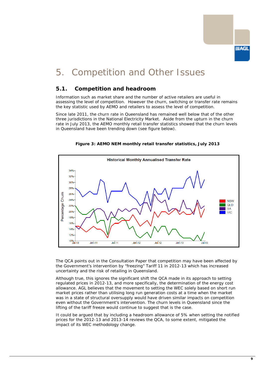

## <span id="page-10-0"></span>5. Competition and Other Issues

## <span id="page-10-1"></span>**5.1. Competition and headroom**

Information such as market share and the number of active retailers are useful in assessing the level of competition. However the churn, switching or transfer rate remains the key statistic used by AEMO and retailers to assess the level of competition.

Since late 2011, the churn rate in Queensland has remained well below that of the other three jurisdictions in the National Electricity Market. Aside from the upturn in the churn rate in July 2013, the AEMO monthly retail transfer statistics showed that the churn levels in Queensland have been trending down (see figure below).



**Figure 3: AEMO NEM monthly retail transfer statistics, July 2013**

The QCA points out in the Consultation Paper that competition may have been affected by the Government's intervention by "freezing" Tariff 11 in 2012-13 which has increased uncertainty and the risk of retailing in Queensland.

Although true, this ignores the significant shift the QCA made in its approach to setting regulated prices in 2012-13, and more specifically, the determination of the energy cost allowance. AGL believes that the movement to setting the WEC solely based on short run market prices rather than utilising long run generation costs at a time when the market was in a state of structural oversupply would have driven similar impacts on competition even without the Government's intervention. The churn levels in Queensland since the lifting of the tariff freeze would continue to suggest that is the case.

It could be argued that by including a headroom allowance of 5% when setting the notified prices for the 2012-13 and 2013-14 reviews the QCA, to some extent, mitigated the impact of its WEC methodology change.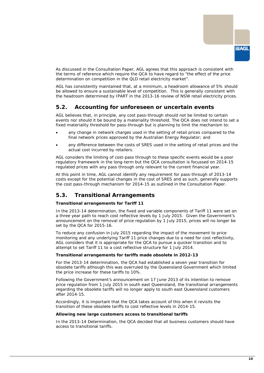

As discussed in the Consultation Paper, AGL agrees that this approach is consistent with the terms of reference which require the QCA to have regard to "*the effect of the price determination on competition in the QLD retail electricity market*".

AGL has consistently maintained that, at a minimum, a headroom allowance of 5% should be allowed to ensure a sustainable level of competition. This is generally consistent with the headroom determined by IPART in the 2013-16 review of NSW retail electricity prices.

## <span id="page-11-0"></span>**5.2. Accounting for unforeseen or uncertain events**

AGL believes that, in principle, any cost pass-through should not be limited to certain events nor should it be bound by a materiality threshold. The QCA does not intend to set a fixed materiality threshold for pass-through but is planning to limit the mechanism to:

- any change in network charges used in the setting of retail prices compared to the final network prices approved by the Australian Energy Regulator; and
- any difference between the costs of SRES used in the setting of retail prices and the actual cost incurred by retailers.

AGL considers the limiting of cost-pass through to these specific events would be a poor regulatory framework in the long-term but the QCA consultation is focussed on 2014-15 regulated prices with any pass through only relevant to the current financial year.

At this point in time, AGL cannot identify any requirement for pass-through of 2013-14 costs except for the potential changes in the cost of SRES and as such, generally supports the cost pass-through mechanism for 2014-15 as outlined in the Consultation Paper.

## <span id="page-11-1"></span>**5.3. Transitional Arrangements**

### **Transitional arrangements for Tariff 11**

In the 2013-14 determination, the fixed and variable components of Tariff 11 were set on a three year path to reach cost reflective levels by 1 July 2015. Given the Government's announcement on the removal of price regulation by 1 July 2015, prices will no longer be set by the QCA for 2015-16.

To reduce any confusion in July 2015 regarding the impact of the movement to price monitoring and any underlying Tariff 11 price changes due to a need for cost reflectivity, AGL considers that it is appropriate for the QCA to pursue a quicker transition and to attempt to set Tariff 11 to a cost reflective structure for 1 July 2014.

### **Transitional arrangements for tariffs made obsolete in 2012-13**

For the 2013-14 determination, the QCA had established a seven year transition for obsolete tariffs although this was overruled by the Queensland Government which limited the price increase for these tariffs to 10%.

Following the Government's announcement on 17 June 2013 of its intention to remove price regulation from 1 July 2015 in south east Queensland, the transitional arrangements regarding the obsolete tariffs will no longer apply to south east Queensland customers after 2014-15.

Accordingly, it is important that the QCA takes account of this when it revisits the transition of these obsolete tariffs to cost reflective levels in 2014-15.

#### **Allowing new large customers access to transitional tariffs**

In the 2013-14 Determination, the QCA decided that all business customers should have access to transitional tariffs.